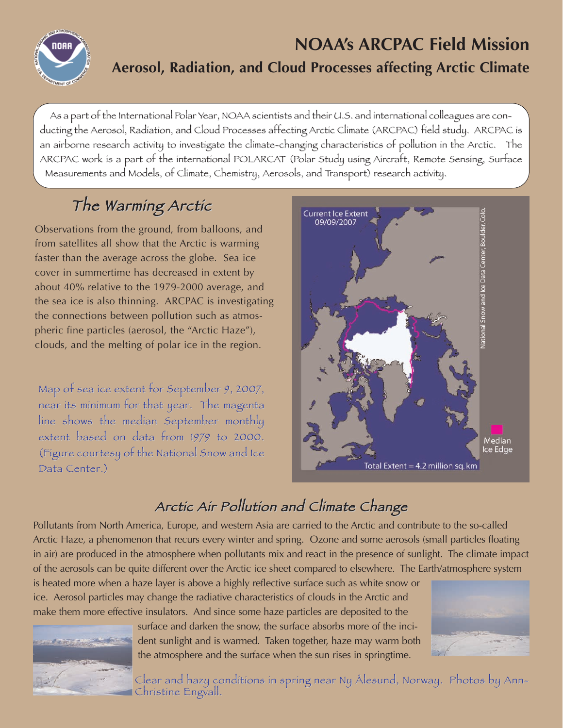

### **NOAA's ARCPAC Field Mission Aerosol, Radiation, and Cloud Processes affecting Arctic Climate**

As a part of the International Polar Year, NOAA scientists and their U.S. and international colleagues are conducting the Aerosol, Radiation, and Cloud Processes affecting Arctic Climate (ARCPAC) field study. ARCPAC is an airborne research activity to investigate the climate-changing characteristics of pollution in the Arctic. The ARCPAC work is a part of the international POLARCAT (Polar Study using Aircraft, Remote Sensing, Surface Measurements and Models, of Climate, Chemistry, Aerosols, and Transport) research activity.

# The Warming Arctic

Observations from the ground, from balloons, and from satellites all show that the Arctic is warming faster than the average across the globe. Sea ice cover in summertime has decreased in extent by about 40% relative to the 1979-2000 average, and the sea ice is also thinning. ARCPAC is investigating the connections between pollution such as atmospheric fine particles (aerosol, the "Arctic Haze"), clouds, and the melting of polar ice in the region.

Map of sea ice extent for September 9, 2007, near its minimum for that year. The magenta line shows the median September monthly extent based on data from 1979 to 2000. (Figure courtesy of the National Snow and Ice Data Center.)



### Arctic Air Pollution and Climate Change

Pollutants from North America, Europe, and western Asia are carried to the Arctic and contribute to the so-called Arctic Haze, a phenomenon that recurs every winter and spring. Ozone and some aerosols (small particles floating in air) are produced in the atmosphere when pollutants mix and react in the presence of sunlight. The climate impact of the aerosols can be quite different over the Arctic ice sheet compared to elsewhere. The Earth/atmosphere system

is heated more when a haze layer is above a highly reflective surface such as white snow or ice. Aerosol particles may change the radiative characteristics of clouds in the Arctic and make them more effective insulators. And since some haze particles are deposited to the



surface and darken the snow, the surface absorbs more of the incident sunlight and is warmed. Taken together, haze may warm both the atmosphere and the surface when the sun rises in springtime.



Clear and hazy conditions in spring near Ny Ålesund, Norway. Photos by Ann- $\blacksquare$  Christine Engvall.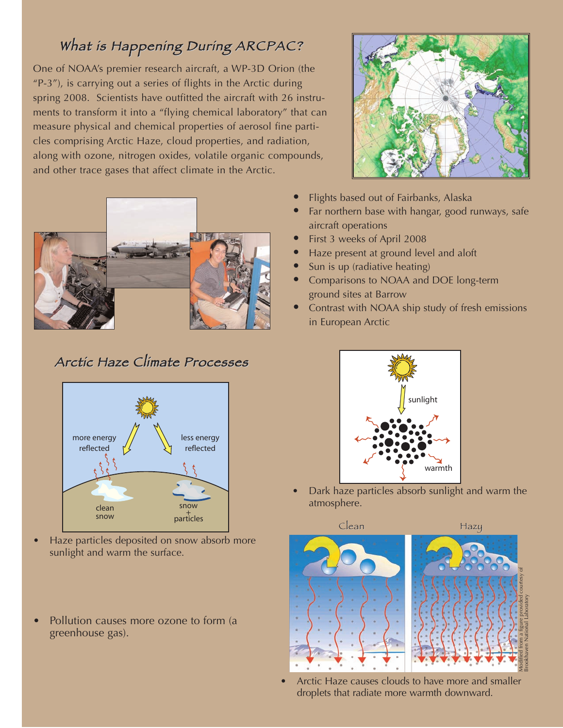#### What is Happening During ARCPAC?

One of NOAA's premier research aircraft, a WP-3D Orion (the "P-3"), is carrying out a series of flights in the Arctic during spring 2008. Scientists have outfitted the aircraft with 26 instruments to transform it into a "flying chemical laboratory" that can measure physical and chemical properties of aerosol fine particles comprising Arctic Haze, cloud properties, and radiation, along with ozone, nitrogen oxides, volatile organic compounds, and other trace gases that affect climate in the Arctic.



#### Arctic Haze Climate Processes



- Haze particles deposited on snow absorb more sunlight and warm the surface.
- Pollution causes more ozone to form (a greenhouse gas).



- **•** Flights based out of Fairbanks, Alaska
- **•** Far northern base with hangar, good runways, safe aircraft operations
- **•** First 3 weeks of April 2008
- **•** Haze present at ground level and aloft
- **•** Sun is up (radiative heating)
- **•** Comparisons to NOAA and DOE long-term ground sites at Barrow
- **•** Contrast with NOAA ship study of fresh emissions in European Arctic



• Dark haze particles absorb sunlight and warm the atmosphere.



• Arctic Haze causes clouds to have more and smaller droplets that radiate more warmth downward.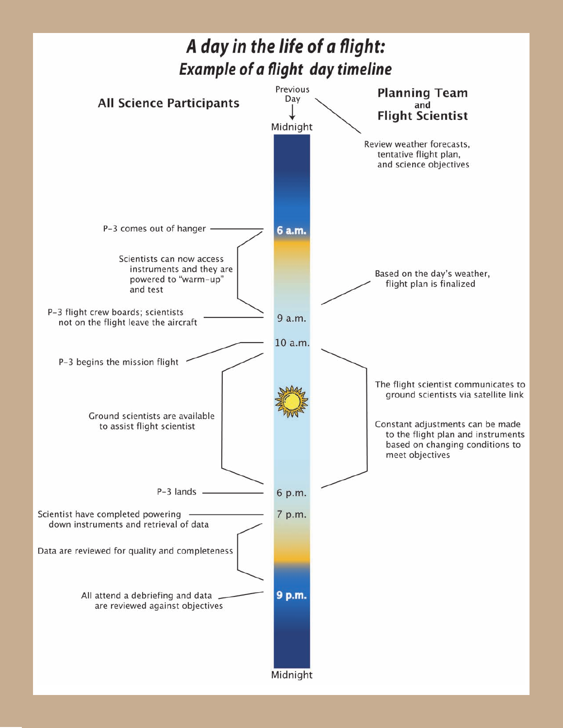